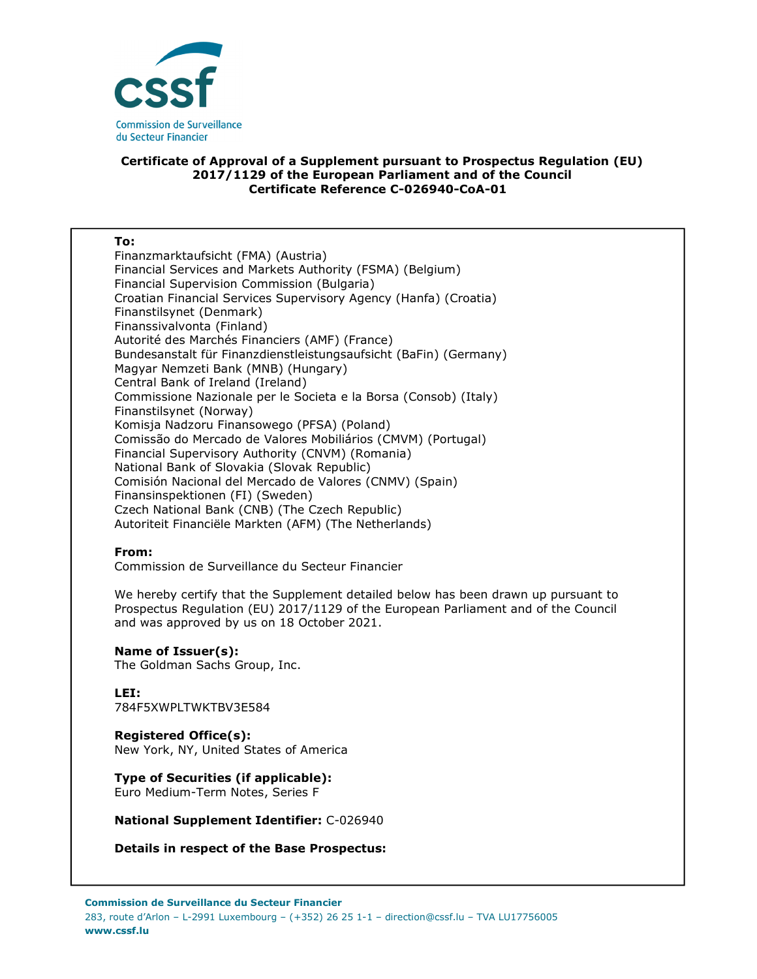

### **Certificate of Approval of a Supplement pursuant to Prospectus Regulation (EU) 2017/1129 of the European Parliament and of the Council Certificate Reference C-026940-CoA-01**

#### **To:**

Finanzmarktaufsicht (FMA) (Austria) Financial Services and Markets Authority (FSMA) (Belgium) Financial Supervision Commission (Bulgaria) Croatian Financial Services Supervisory Agency (Hanfa) (Croatia) Finanstilsynet (Denmark) Finanssivalvonta (Finland) Autorité des Marchés Financiers (AMF) (France) Bundesanstalt für Finanzdienstleistungsaufsicht (BaFin) (Germany) Magyar Nemzeti Bank (MNB) (Hungary) Central Bank of Ireland (Ireland) Commissione Nazionale per le Societa e la Borsa (Consob) (Italy) Finanstilsynet (Norway) Komisja Nadzoru Finansowego (PFSA) (Poland) Comissão do Mercado de Valores Mobiliários (CMVM) (Portugal) Financial Supervisory Authority (CNVM) (Romania) National Bank of Slovakia (Slovak Republic) Comisión Nacional del Mercado de Valores (CNMV) (Spain) Finansinspektionen (FI) (Sweden) Czech National Bank (CNB) (The Czech Republic) Autoriteit Financiële Markten (AFM) (The Netherlands)

### **From:**

Commission de Surveillance du Secteur Financier

We hereby certify that the Supplement detailed below has been drawn up pursuant to Prospectus Regulation (EU) 2017/1129 of the European Parliament and of the Council and was approved by us on 18 October 2021.

### **Name of Issuer(s):**

The Goldman Sachs Group, Inc.

# **LEI:**

784F5XWPLTWKTBV3E584

### **Registered Office(s):**

New York, NY, United States of America

## **Type of Securities (if applicable):**

Euro Medium-Term Notes, Series F

### **National Supplement Identifier:** C-026940

**Details in respect of the Base Prospectus:**